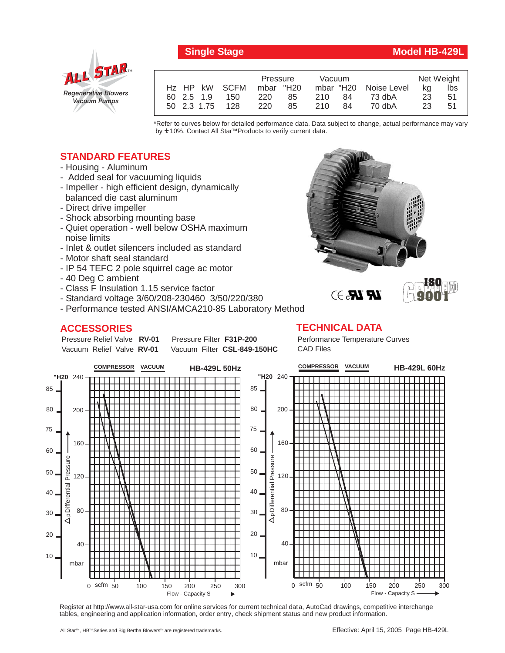

# **Single Stage Model HB-429L**

|            |                 | Pressure  |    | Vacuum |     |                       | Net Weight |     |
|------------|-----------------|-----------|----|--------|-----|-----------------------|------------|-----|
|            | Hz HP kW SCFM   | mbar "H20 |    |        |     | mbar "H20 Noise Level | ka         | lbs |
| 60 2.5 1.9 | 150             | 220       | 85 | 210    | -84 | 73 dbA                | -23        | .51 |
|            | 50 2.3 1.75 128 | 220       | 85 | 210    | 84  | 70 dbA                | 23         | 51  |

\*Refer to curves below for detailed performance data. Data subject to change, actual performance may vary by **+** 10%. Contact All Star™Products to verify current data.

## **STANDARD FEATURES**

- Housing Aluminum
- Added seal for vacuuming liquids
- Impeller high efficient design, dynamically balanced die cast aluminum
- Direct drive impeller
- Shock absorbing mounting base
- Quiet operation well below OSHA maximum noise limits
- Inlet & outlet silencers included as standard
- Motor shaft seal standard
- IP 54 TEFC 2 pole squirrel cage ac motor
- 40 Deg C ambient
- Class F Insulation 1.15 service factor
- Standard voltage 3/60/208-230460 3/50/220/380
- Performance tested ANSI/AMCA210-85 Laboratory Method

# **ACCESSORIES**

Pressure Relief Valve RV-01 Vacuum Relief Valve RV-01

**Pressure Filter F31P-200** Vacuum Filter CSL-849-150HC



# $\mathbb{R}$   $\mathbb{R}$ . $\ni$



### **TECHNICAL DATA**

Performance Temperature Curves CAD Files



Register at http://www.all-star-usa.com for online services for current technical data, AutoCad drawings, competitive interchange tables, engineering and application information, order entry, check shipment status and new product information.